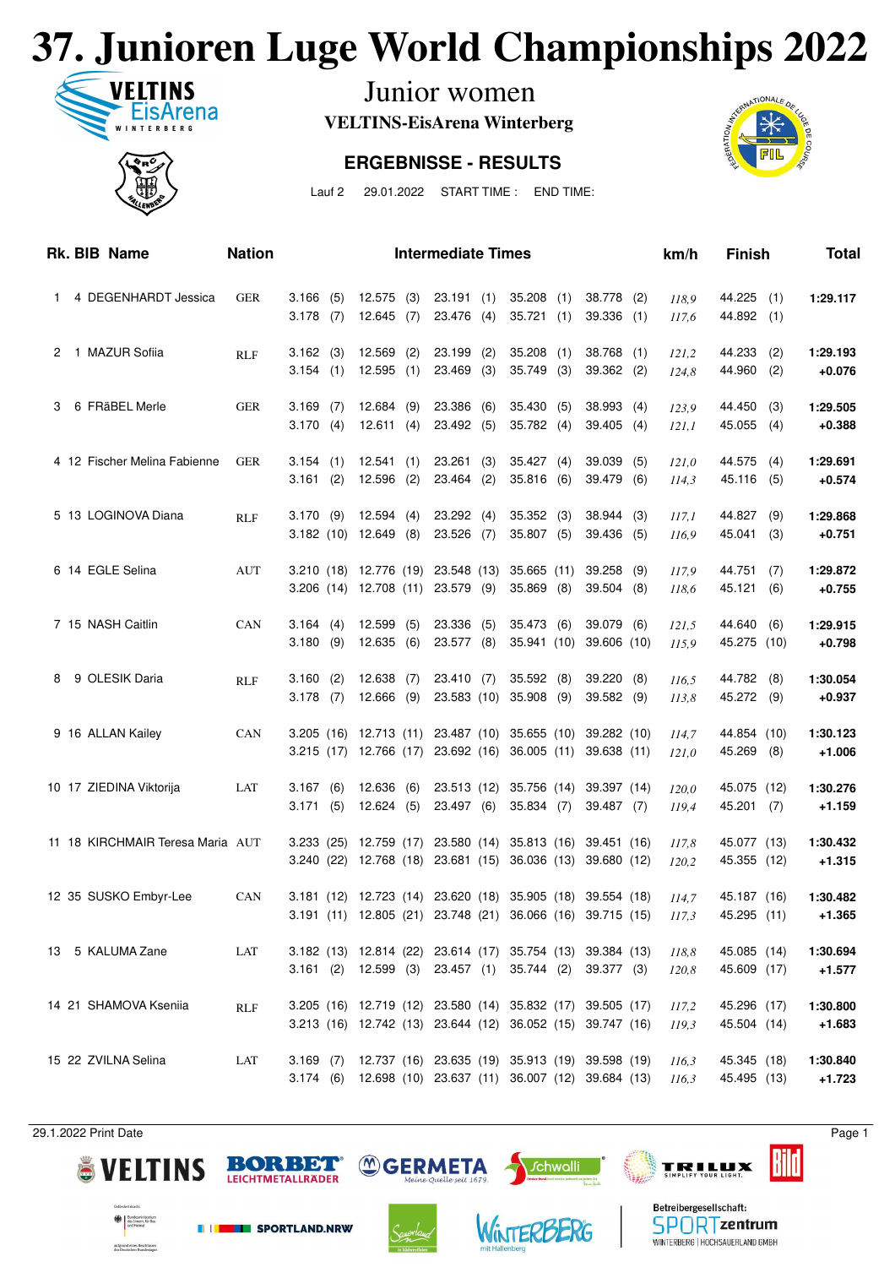## **37. Junioren Luge World Championships 2022**



Junior women

**VELTINS-EisArena Winterberg**

#### **ERGEBNISSE - RESULTS**



Lauf 2 29.01.2022 START TIME : END TIME:

|    | Rk. BIB Name                     | <b>Nation</b> |                         |     |                                               |            | <b>Intermediate Times</b>                                                           |     |                                  |            |                                                                                                                          |     | km/h           | <b>Finish</b>              |            | <b>Total</b>         |
|----|----------------------------------|---------------|-------------------------|-----|-----------------------------------------------|------------|-------------------------------------------------------------------------------------|-----|----------------------------------|------------|--------------------------------------------------------------------------------------------------------------------------|-----|----------------|----------------------------|------------|----------------------|
| 1. | 4 DEGENHARDT Jessica             | <b>GER</b>    | 3.166(5)<br>$3.178$ (7) |     | 12.645                                        | (7)        | 12.575 (3) 23.191 (1) 35.208 (1)<br>23.476 (4)                                      |     | 35.721                           | (1)        | 38.778 (2)<br>$39.336$ (1)                                                                                               |     | 118,9<br>117,6 | 44.225 (1)<br>44.892 (1)   |            | 1:29.117             |
|    | 2 1 MAZUR Sofiia                 | <b>RLF</b>    | 3.162(3)<br>3.154(1)    |     | 12.569<br>12.595                              | (2)<br>(1) | $23.199$ (2)<br>$23.469$ (3)                                                        |     | 35.208<br>35.749                 | (1)<br>(3) | 38.768 (1)<br>39.362 (2)                                                                                                 |     | 121,2<br>124,8 | 44.233<br>44.960           | (2)<br>(2) | 1:29.193<br>$+0.076$ |
| 3. | 6 FRäBEL Merle                   | <b>GER</b>    | $3.169$ (7)<br>3.170(4) |     | 12.684(9)<br>12.611(4)                        |            | 23.386 (6)<br>23.492 (5)                                                            |     | 35.430<br>35.782(4)              | (5)        | 38.993<br>$39.405$ (4)                                                                                                   | (4) | 123,9<br>121,1 | 44.450<br>45.055           | (3)<br>(4) | 1:29.505<br>$+0.388$ |
|    | 4 12 Fischer Melina Fabienne     | <b>GER</b>    | 3.154(1)<br>3.161(2)    |     | 12.541<br>12.596                              | (1)<br>(2) | 23.261<br>23.464 (2)                                                                | (3) | 35.427<br>35.816                 | (4)<br>(6) | 39.039<br>39.479 (6)                                                                                                     | (5) | 121,0<br>114,3 | 44.575<br>45.116 (5)       | (4)        | 1:29.691<br>$+0.574$ |
|    | 5 13 LOGINOVA Diana              | RLF           |                         |     | 3.170 (9) 12.594 (4)<br>3.182 (10) 12.649 (8) |            | 23.292(4)<br>23.526 (7)                                                             |     | 35.352<br>35.807(5)              | (3)        | 38.944<br>39.436 (5)                                                                                                     | (3) | 117,1<br>116,9 | 44.827<br>45.041           | (9)<br>(3) | 1:29.868<br>$+0.751$ |
|    | 6 14 EGLE Selina                 | AUT           |                         |     |                                               |            | 3.210 (18) 12.776 (19) 23.548 (13) 35.665 (11)<br>3.206 (14) 12.708 (11) 23.579 (9) |     | 35.869                           | (8)        | 39.258<br>39.504 (8)                                                                                                     | (9) | 117,9<br>118,6 | 44.751<br>45.121           | (7)<br>(6) | 1:29.872<br>$+0.755$ |
|    | 7 15 NASH Caitlin                | <b>CAN</b>    | 3.164(4)<br>3.180(9)    |     | 12.599<br>12.635(6)                           | (5)        | 23.336 (5)<br>23.577 (8)                                                            |     | 35.473                           | (6)        | 39.079<br>35.941 (10) 39.606 (10)                                                                                        | (6) | 121,5<br>115,9 | 44.640<br>45.275 (10)      | (6)        | 1:29.915<br>$+0.798$ |
| 8  | 9 OLESIK Daria                   | RLF           | 3.160<br>$3.178$ (7)    | (2) | 12.638<br>$12.666$ (9)                        | (7)        | 23.410 (7)                                                                          |     | 35.592<br>23.583 (10) 35.908 (9) | (8)        | 39.220<br>39.582 (9)                                                                                                     | (8) | 116,5<br>113,8 | 44.782<br>45.272 (9)       | (8)        | 1:30.054<br>$+0.937$ |
|    | 9 16 ALLAN Kailey                | <b>CAN</b>    |                         |     |                                               |            |                                                                                     |     |                                  |            | 3.205 (16) 12.713 (11) 23.487 (10) 35.655 (10) 39.282 (10)<br>3.215 (17) 12.766 (17) 23.692 (16) 36.005 (11) 39.638 (11) |     | 114,7<br>121,0 | 44.854 (10)<br>45.269 (8)  |            | 1:30.123<br>$+1.006$ |
|    | 10 17 ZIEDINA Viktorija          | LAT           | 3.167(6)<br>3.171(5)    |     | 12.636<br>12.624 (5)                          | (6)        | 23.497 (6)                                                                          |     | 35.834(7)                        |            | 23.513 (12) 35.756 (14) 39.397 (14)<br>39.487 (7)                                                                        |     | 120,0<br>119,4 | 45.075 (12)<br>45.201 (7)  |            | 1:30.276<br>$+1.159$ |
|    | 11 18 KIRCHMAIR Teresa Maria AUT |               |                         |     |                                               |            |                                                                                     |     |                                  |            | 3.233 (25) 12.759 (17) 23.580 (14) 35.813 (16) 39.451 (16)<br>3.240 (22) 12.768 (18) 23.681 (15) 36.036 (13) 39.680 (12) |     | 117,8<br>120,2 | 45.077 (13)<br>45.355 (12) |            | 1:30.432<br>$+1.315$ |
|    | 12 35 SUSKO Embyr-Lee            | <b>CAN</b>    |                         |     |                                               |            |                                                                                     |     |                                  |            | 3.181 (12) 12.723 (14) 23.620 (18) 35.905 (18) 39.554 (18)<br>3.191 (11) 12.805 (21) 23.748 (21) 36.066 (16) 39.715 (15) |     | 114,7<br>117,3 | 45.187 (16)<br>45.295 (11) |            | 1:30.482<br>$+1.365$ |
|    | 13 5 KALUMA Zane                 | LAT           |                         |     |                                               |            |                                                                                     |     |                                  |            | 3.182 (13) 12.814 (22) 23.614 (17) 35.754 (13) 39.384 (13)<br>3.161 (2) 12.599 (3) 23.457 (1) 35.744 (2) 39.377 (3)      |     | 118,8<br>120,8 | 45.085 (14)<br>45.609 (17) |            | 1:30.694<br>$+1.577$ |
|    | 14 21 SHAMOVA Kseniia            | RLF           |                         |     |                                               |            |                                                                                     |     |                                  |            | 3.205 (16) 12.719 (12) 23.580 (14) 35.832 (17) 39.505 (17)<br>3.213 (16) 12.742 (13) 23.644 (12) 36.052 (15) 39.747 (16) |     | 117,2<br>119.3 | 45.296 (17)<br>45.504 (14) |            | 1:30.800<br>$+1.683$ |
|    | 15 22 ZVILNA Selina              | LAT           |                         |     |                                               |            |                                                                                     |     |                                  |            | 3.169 (7) 12.737 (16) 23.635 (19) 35.913 (19) 39.598 (19)<br>3.174 (6) 12.698 (10) 23.637 (11) 36.007 (12) 39.684 (13)   |     | 116,3<br>116,3 | 45.345 (18)<br>45.495 (13) |            | 1:30.840<br>$+1.723$ |

29.1.2022 Print Date Page 1

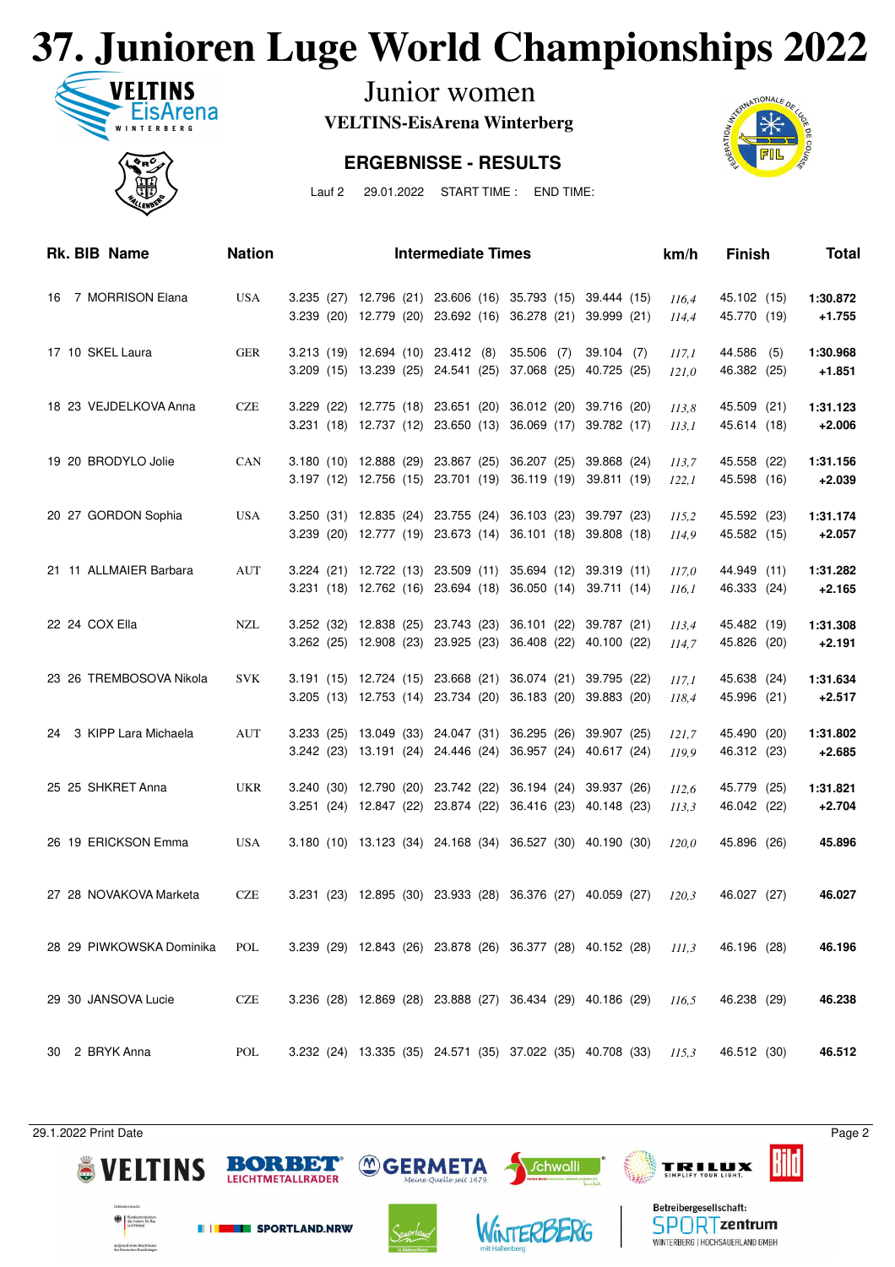## **37. Junioren Luge World Championships 2022**



Junior women

**VELTINS-EisArena Winterberg**

#### **ERGEBNISSE - RESULTS**



Lauf 2 29.01.2022 START TIME : END TIME:

| Rk. BIB Name             | <b>Nation</b> |                                                                    |  | <b>Intermediate Times</b> |  |  | km/h  | <b>Finish</b> | <b>Total</b> |
|--------------------------|---------------|--------------------------------------------------------------------|--|---------------------------|--|--|-------|---------------|--------------|
| 16 7 MORRISON Elana      | <b>USA</b>    | 3.235 (27) 12.796 (21) 23.606 (16) 35.793 (15) 39.444 (15)         |  |                           |  |  | 116.4 | 45.102 (15)   | 1:30.872     |
|                          |               | 3.239 (20) 12.779 (20) 23.692 (16) 36.278 (21) 39.999 (21)         |  |                           |  |  | 114,4 | 45.770 (19)   | $+1.755$     |
| 17 10 SKEL Laura         | GER           | 3.213 (19) 12.694 (10) 23.412 (8) 35.506 (7) 39.104 (7)            |  |                           |  |  | 117,1 | 44.586 (5)    | 1:30.968     |
|                          |               | 3.209 (15) 13.239 (25) 24.541 (25) 37.068 (25) 40.725 (25)         |  |                           |  |  | 121,0 | 46.382 (25)   | $+1.851$     |
| 18 23 VEJDELKOVA Anna    | <b>CZE</b>    | 3.229 (22) 12.775 (18) 23.651 (20) 36.012 (20) 39.716 (20)         |  |                           |  |  | 113.8 | 45.509 (21)   | 1:31.123     |
|                          |               | 3.231 (18) 12.737 (12) 23.650 (13) 36.069 (17) 39.782 (17)         |  |                           |  |  | 113,1 | 45.614 (18)   | $+2.006$     |
| 19 20 BRODYLO Jolie      | CAN           | 3.180 (10) 12.888 (29) 23.867 (25) 36.207 (25) 39.868 (24)         |  |                           |  |  | 113,7 | 45.558 (22)   | 1:31.156     |
|                          |               | 3.197 (12) 12.756 (15) 23.701 (19) 36.119 (19) 39.811 (19)         |  |                           |  |  | 122,1 | 45.598 (16)   | $+2.039$     |
| 20 27 GORDON Sophia      | USA           | 3.250 (31) 12.835 (24) 23.755 (24) 36.103 (23) 39.797 (23)         |  |                           |  |  | 115.2 | 45.592 (23)   | 1:31.174     |
|                          |               | 3.239 (20) 12.777 (19) 23.673 (14) 36.101 (18) 39.808 (18)         |  |                           |  |  | 114.9 | 45.582 (15)   | $+2.057$     |
| 21 11 ALLMAIER Barbara   | AUT           | 3.224 (21) 12.722 (13) 23.509 (11) 35.694 (12) 39.319 (11)         |  |                           |  |  | 117.0 | 44.949 (11)   | 1:31.282     |
|                          |               | 3.231 (18) 12.762 (16) 23.694 (18) 36.050 (14) 39.711 (14)         |  |                           |  |  | 116,1 | 46.333 (24)   | $+2.165$     |
| 22 24 COX Ella           | NZL           | 3.252 (32) 12.838 (25) 23.743 (23) 36.101 (22) 39.787 (21)         |  |                           |  |  | 113,4 | 45.482 (19)   | 1:31.308     |
|                          |               | 3.262 (25) 12.908 (23) 23.925 (23) 36.408 (22) 40.100 (22)         |  |                           |  |  | 114,7 | 45.826 (20)   | $+2.191$     |
| 23 26 TREMBOSOVA Nikola  | <b>SVK</b>    | 3.191 (15) 12.724 (15) 23.668 (21) 36.074 (21) 39.795 (22)         |  |                           |  |  | 117,1 | 45.638 (24)   | 1:31.634     |
|                          |               | 3.205 (13) 12.753 (14) 23.734 (20) 36.183 (20) 39.883 (20)         |  |                           |  |  | 118,4 | 45.996 (21)   | $+2.517$     |
| 24 3 KIPP Lara Michaela  | AUT           | 3.233 (25) 13.049 (33) 24.047 (31) 36.295 (26) 39.907 (25)         |  |                           |  |  | 121,7 | 45.490 (20)   | 1:31.802     |
|                          |               | 3.242 (23) 13.191 (24) 24.446 (24) 36.957 (24) 40.617 (24)         |  |                           |  |  | 119,9 | 46.312 (23)   | $+2.685$     |
| 25 25 SHKRET Anna        | <b>UKR</b>    | 3.240 (30) 12.790 (20) 23.742 (22) 36.194 (24) 39.937 (26)         |  |                           |  |  | 112,6 | 45.779 (25)   | 1:31.821     |
|                          |               | 3.251 (24) 12.847 (22) 23.874 (22) 36.416 (23) 40.148 (23)         |  |                           |  |  | 113,3 | 46.042 (22)   | $+2.704$     |
| 26 19 ERICKSON Emma      | <b>USA</b>    | 3.180 (10) 13.123 (34) 24.168 (34) 36.527 (30) 40.190 (30)         |  |                           |  |  | 120.0 | 45.896 (26)   | 45.896       |
|                          |               |                                                                    |  |                           |  |  |       |               |              |
| 27 28 NOVAKOVA Marketa   | CZE           | 3.231 (23) 12.895 (30) 23.933 (28) 36.376 (27) 40.059 (27) $120.3$ |  |                           |  |  |       | 46.027 (27)   | 46.027       |
|                          |               |                                                                    |  |                           |  |  |       |               |              |
| 28 29 PIWKOWSKA Dominika | POL           | 3.239 (29) 12.843 (26) 23.878 (26) 36.377 (28) 40.152 (28) $111.3$ |  |                           |  |  |       | 46.196 (28)   | 46.196       |
|                          |               |                                                                    |  |                           |  |  |       |               |              |
| 29 30 JANSOVA Lucie      | <b>CZE</b>    | 3.236 (28) 12.869 (28) 23.888 (27) 36.434 (29) 40.186 (29)         |  |                           |  |  | 116,5 | 46.238 (29)   | 46.238       |
|                          |               |                                                                    |  |                           |  |  |       |               |              |
| 30 2 BRYK Anna           | POL           | 3.232 (24) 13.335 (35) 24.571 (35) 37.022 (35) 40.708 (33)         |  |                           |  |  | 115,3 | 46.512 (30)   | 46.512       |

29.1.2022 Print Date Page 2

Bild





**BORBET** 

LEICHTMETALLRÄDER



*<sup>M</sup>GERMETA* 



**Schwalli** 



**TRILUX**